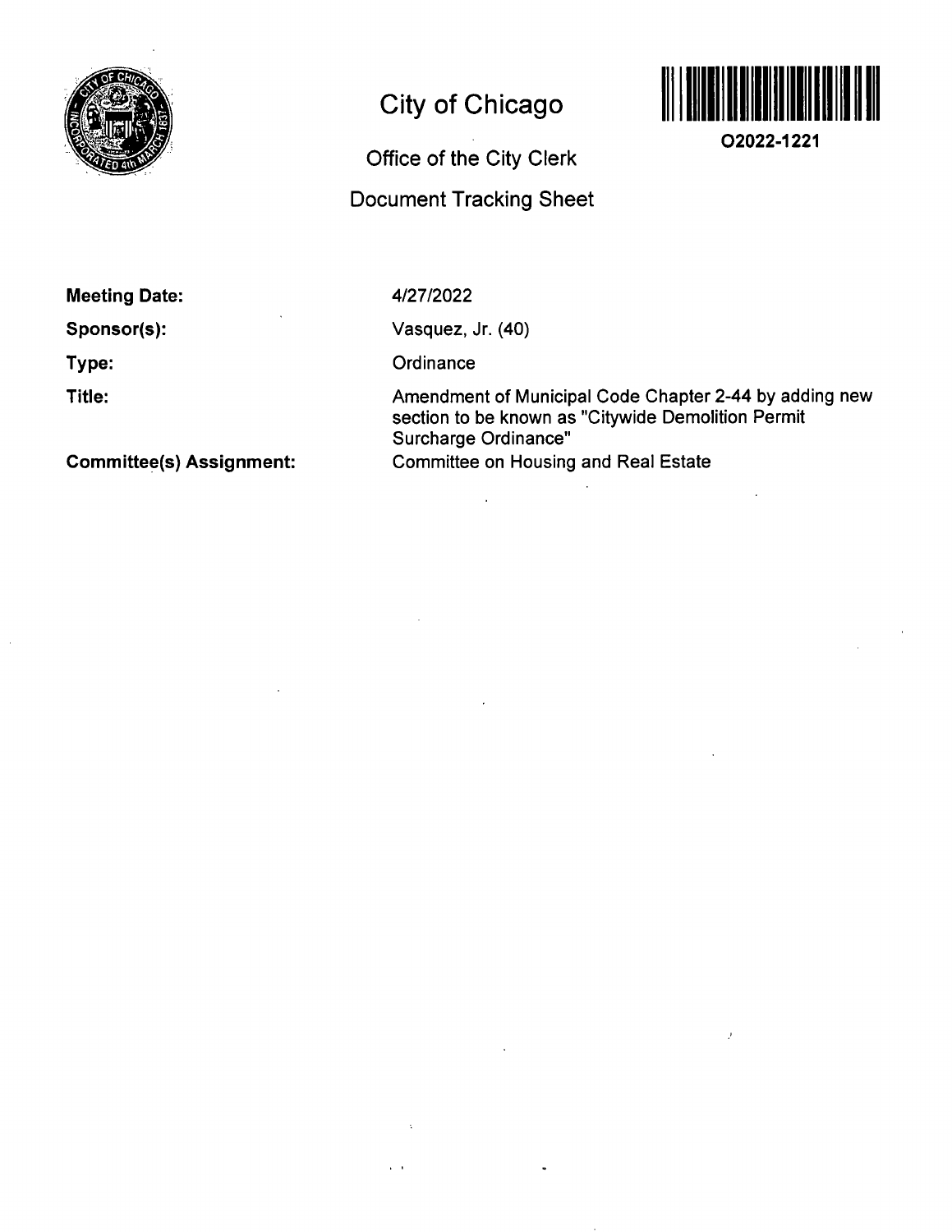

# **City of Chicago**

## **Office of the City Clerk**

### **Document Tracking Sheet**



**02022-1221** 

**Meeting Date:** 

**Sponsor(s):** 

**Type:** 

**Title:** 

4/27/2022

Vasquez, Jr. (40)

 $\bar{z}$ 

**Ordinance** 

Amendment of Municipal Code Chapter 2-44 by adding new section to be known as "Citywide Demolition Permit Surcharge Ordinance" Committee on Housing and Real Estate

 $\bar{\bar{J}}$ 

**Committee(s) Assignment:**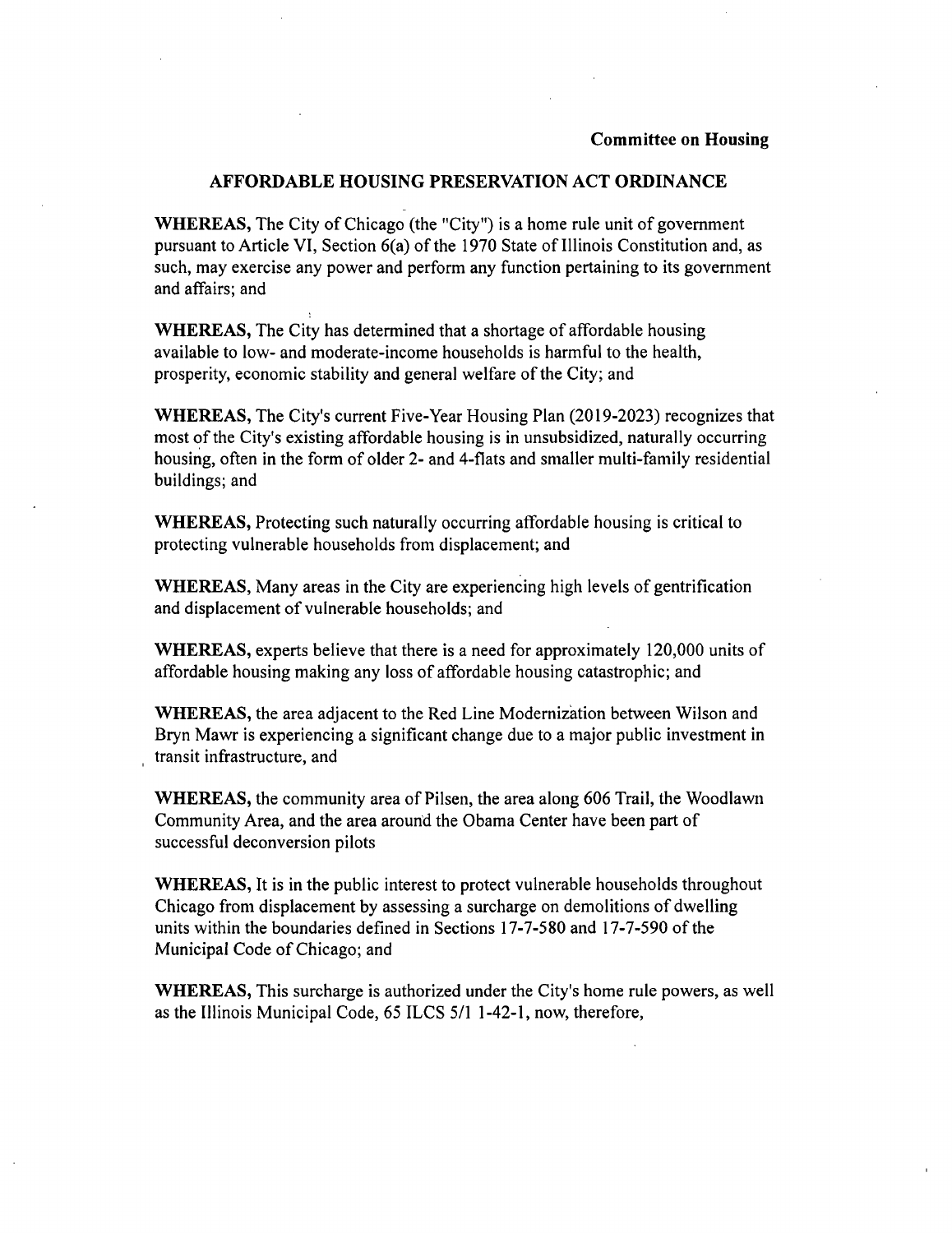#### **AFFORDABLE HOUSING PRESERVATION ACT ORDINANCE**

WHEREAS, The City of Chicago (the "City") is a home rule unit of government pursuant to Article VI, Section 6(a) of the 1970 State of Illinois Constitution and, as such, may exercise any power and perform any function pertaining to its government and affairs; and

WHEREAS, The City has determined that a shortage of affordable housing available to low- and moderate-income households is harmful to the health, prosperity, economic stability and general welfare of the City; and

WHEREAS, The City's current Five-Year Housing Plan (2019-2023) recognizes that most of the City's existing affordable housing is in unsubsidized, naturally occurring housing, often in the form of older 2- and 4-flats and smaller multi-family residential buildings; and

WHEREAS, Protecting such naturally occurring affordable housing is critical to protecting vulnerable households from displacement; and

WHEREAS, Many areas in the City are experiencing high levels of gentrification and displacement of vulnerable households; and

WHEREAS, experts believe that there is a need for approximately 120,000 units of affordable housing making any loss of affordable housing catastrophic; and

WHEREAS, the area adjacent to the Red Line Modernization between Wilson and Bryn Mawr is experiencing a significant change due to a major public investment in transit infrastructure, and

WHEREAS, the community area of Pilsen, the area along 606 Trail, the Woodlawn Community Area, and the area around the Obama Center have been part of successful deconversion pilots

WHEREAS, It is in the public interest to protect vulnerable households throughout Chicago from displacement by assessing a surcharge on demolitions of dwelling units within the boundaries defined in Sections 17-7-580 and 17-7-590 of the Municipal Code of Chicago; and

WHEREAS, This surcharge is authorized under the City's home rule powers, as well as the Illinois Municipal Code, 65 ILCS 5/1 1-42-1, now, therefore,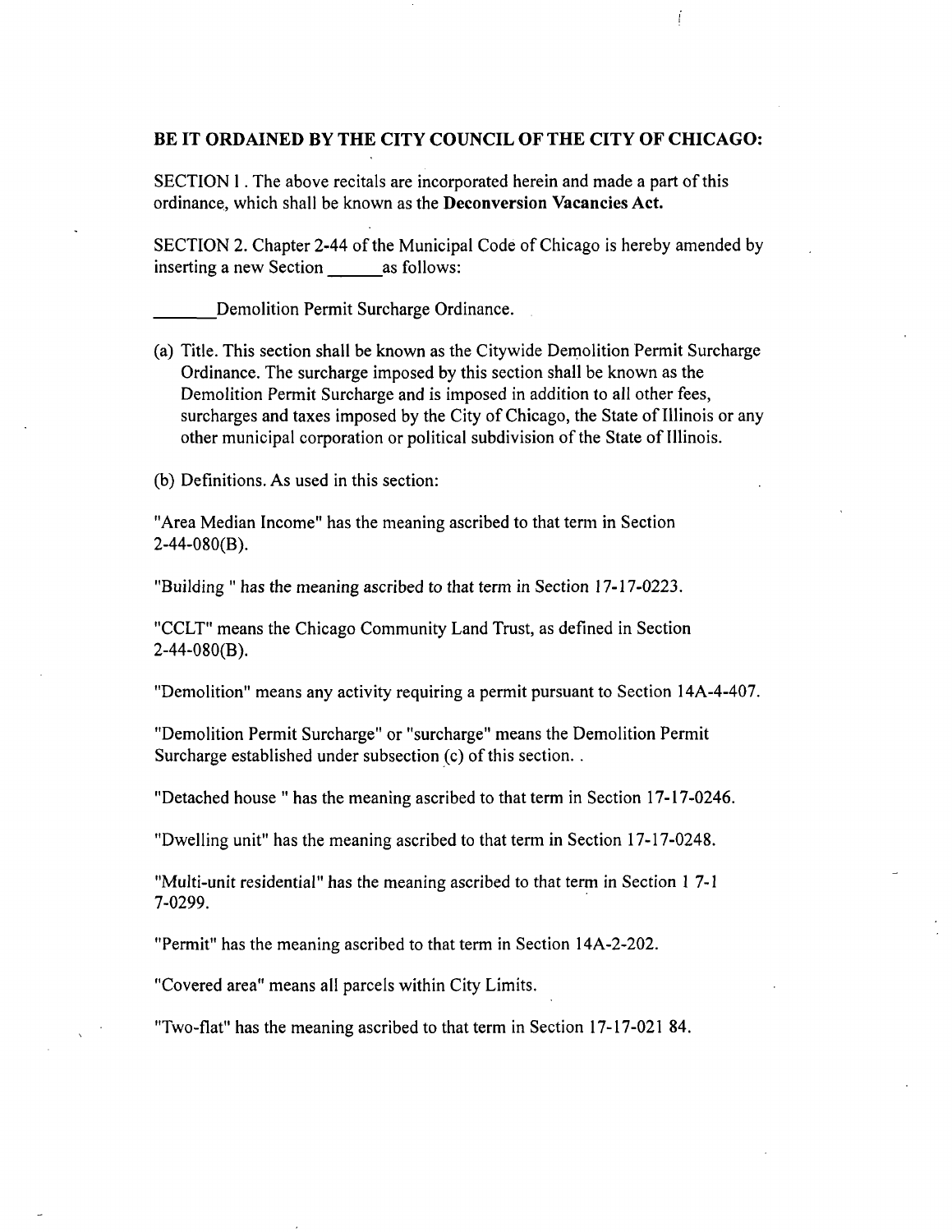#### **BE IT ORDAINED BY THE CITY COUNCIL OFTHE CITY OF CHICAGO:**

**SECTION 1 . The above recitals are incorporated herein and made a part of this ordinance, which shall be known as the Deconversion Vacancies Act.** 

SECTION 2. Chapter 2-44 of the Municipal Code of Chicago is hereby amended by inserting a new Section as follows:

Demolition Permit Surcharge Ordinance.

(a) Title. This section shall be known as the Citywide Dernolition Permit Surcharge Ordinance. The surcharge imposed by this section shall be known as the Demolition Permit Surcharge and is imposed in addition to all other fees, surcharges and taxes imposed by the City of Chicago, the State of Illinois or any other municipal corporation or political subdivision of the State of Illinois.

(b) Definitions. As used in this section:

"Area Median Income" has the meaning ascribed to that term in Section  $2-44-080(B)$ .

"Building " has the meaning ascribed to that term in Section 17-17-0223.

"CCLT" means the Chicago Community Land Trust, as defined in Section 2-44-080(8).

"Demolition" means any activity requiring a permit pursuant to Section 14A-4-407.

"Demolition Permit Surcharge" or "surcharge" means the Demolition Permit Surcharge established under subsection (c) of this section. .

"Detached house " has the meaning ascribed to that term in Section 17-17-0246.

"Dwelling unit" has the meaning ascribed to that term in Section 17-17-0248.

"Multi-unit residential" has the meaning ascribed to that term in Section 1 7-1 7-0299.

"Permit" has the meaning ascribed to that term in Section 14A-2-202.

"Covered area" means all parcels within City Limits.

"Two-flat" has the meaning ascribed to that term in Section 17-17-021 84.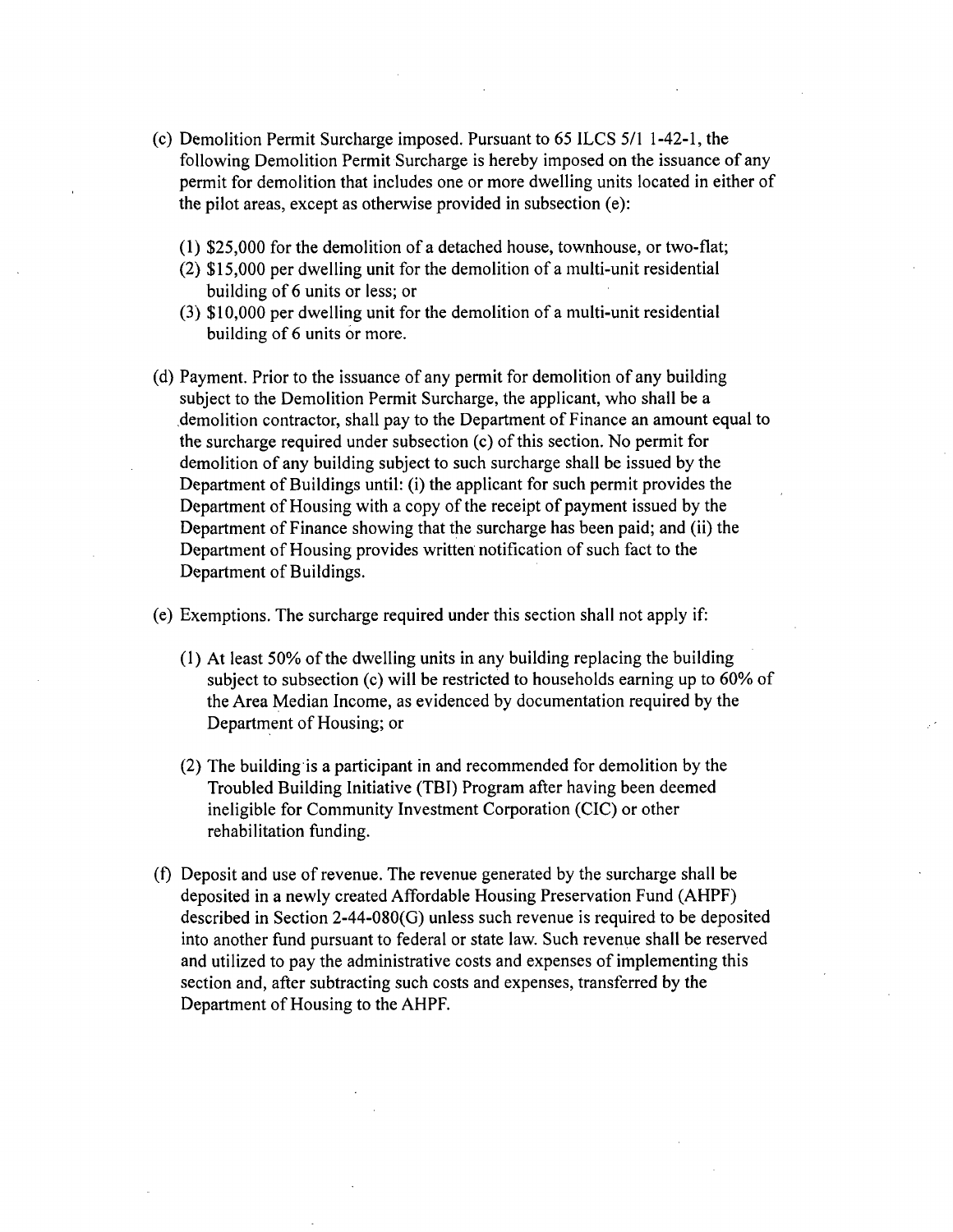- (c) Demolition Permit Surcharge imposed. Pursuant to 65 ILCS 5/1 1-42-1, the following Demolition Permit Surcharge is hereby imposed on the issuance of any permit for demolition that includes one or more dwelling units located in either of the pilot areas, except as otherwise provided in subsection (e):
	- $(1)$  \$25,000 for the demolition of a detached house, townhouse, or two-flat;
	- (2) \$15,000 per dwelling unit for the demolition of a multi-unit residential building of 6 units or less; or
	- (3) \$10,000 per dwelling unit for the demolition of a multi-unit residential building of 6 units or more.
- (d) Payment. Prior to the issuance of any permit for demolition of any building subject to the Demolition Permit Surcharge, the applicant, who shall be a demolition contractor, shall pay to the Department of Finance an amount equal to the surcharge required under subsection (c) of this section. No permit for demolition of any building subject to such surcharge shall be issued by the Department of Buildings until: (i) the applicant for such permit provides the Department of Housing with a copy of the receipt of payment issued by the Department of Finance showing that the surcharge has been paid; and (ii) the Department of Housing provides written notification of such fact to the Department of Buildings.

(e) Exemptions. The surcharge required under this secfion shall not apply if:

- (1) At least 50% of the dwelling units in any building replacing the building subject to subsection (c) will be restricted to households earning up to 60% of the Area Median Income, as evidenced by documentation required by the Department of Housing; or
- (2) The building is a participant in and recommended for demolition by the Troubled Building Initiative (TBI) Program after having been deemed ineligible for Community Investment Corporation (CIC) or other rehabilitation funding.
- (f) Deposit and use of revenue. The revenue generated by the surcharge shall be deposited in a newly created Affordable Housing Preservation Fund (AHPF) described in Section 2-44-080(G) unless such revenue is required to be deposited into another fund pursuant to federal or state law. Such revenue shall be reserved and utilized to pay the administrative costs and expenses of implemenfing this section and, after subtracting such costs and expenses, transferred by the Department of Housing to the AHPF.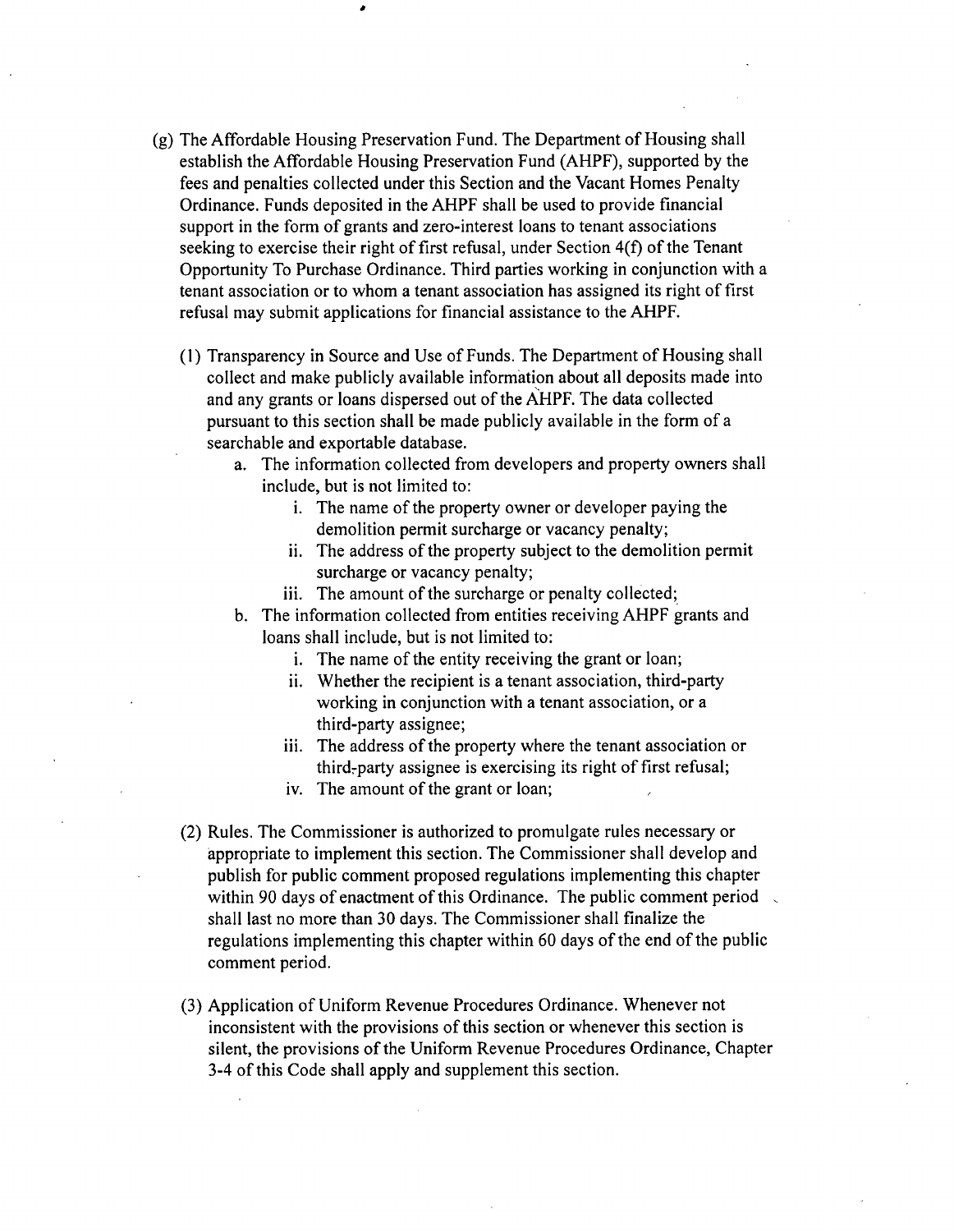- (g) The Affordable Housing Preservation Fund. The Department of Housing shall establish the Affordable Housing Preservation Fund (AHPF), supported by the fees and penalties collected under this Section and the Vacant Homes Penalty Ordinance. Funds deposited in the AHPF shall be used to provide financial support in the form of grants and zero-interest loans to tenant associations seeking to exercise their right of first refusal, under Section 4(f) of the Tenant Opportunity To Purchase Ordinance. Third parties working in conjunction with a tenant association or to whom a tenant association has assigned its right of first refusal may submit applications for financial assistance to the AHPF.
	- (1) Transparency in Source and Use of Funds. The Department of Housing shall collect and make publicly available information about all deposits made into and any grants or loans dispersed out of the AHPF. The data collected pursuant to this section shall be made publicly available in the form of a searchable and exportable database.
		- a. The information collected from developers and property owners shall include, but is not limited to:
			- i. The name of the property owner or developer paying the demolition permit surcharge or vacancy penalty;
			- ii. The address of the property subject to the demolition permit surcharge or vacancy penalty;
			- iii. The amount of the surcharge or penalty collected;
		- b. The information collected from entities receiving AHPF grants and loans shall include, but is not limited to:
			- i. The name of the entity receiving the grant or loan;
			- ii. Whether the recipient is a tenant association, third-party working in conjunction with a tenant association, or a third-party assignee;
			- iii. The address of the property where the tenant association or third-party assignee is exercising its right of first refusal;
			- iv. The amount of the grant or loan;
	- (2) Rules. The Commissioner is authorized to promulgate rules necessary or appropriate to implement this section. The Commissioner shall develop and publish for public comment proposed regulations implementing this chapter within 90 days of enactment of this Ordinance. The public comment period shall last no more than 30 days. The Commissioner shall finalize the regulations implementing this chapter within 60 days of the end of the public comment period.
	- (3) Application of Uniform Revenue Procedures Ordinance. Whenever not inconsistent with the provisions of this section or whenever this section is silent, the provisions of the Uniform Revenue Procedures Ordinance, Chapter 3-4 of this Code shall apply and supplement this section.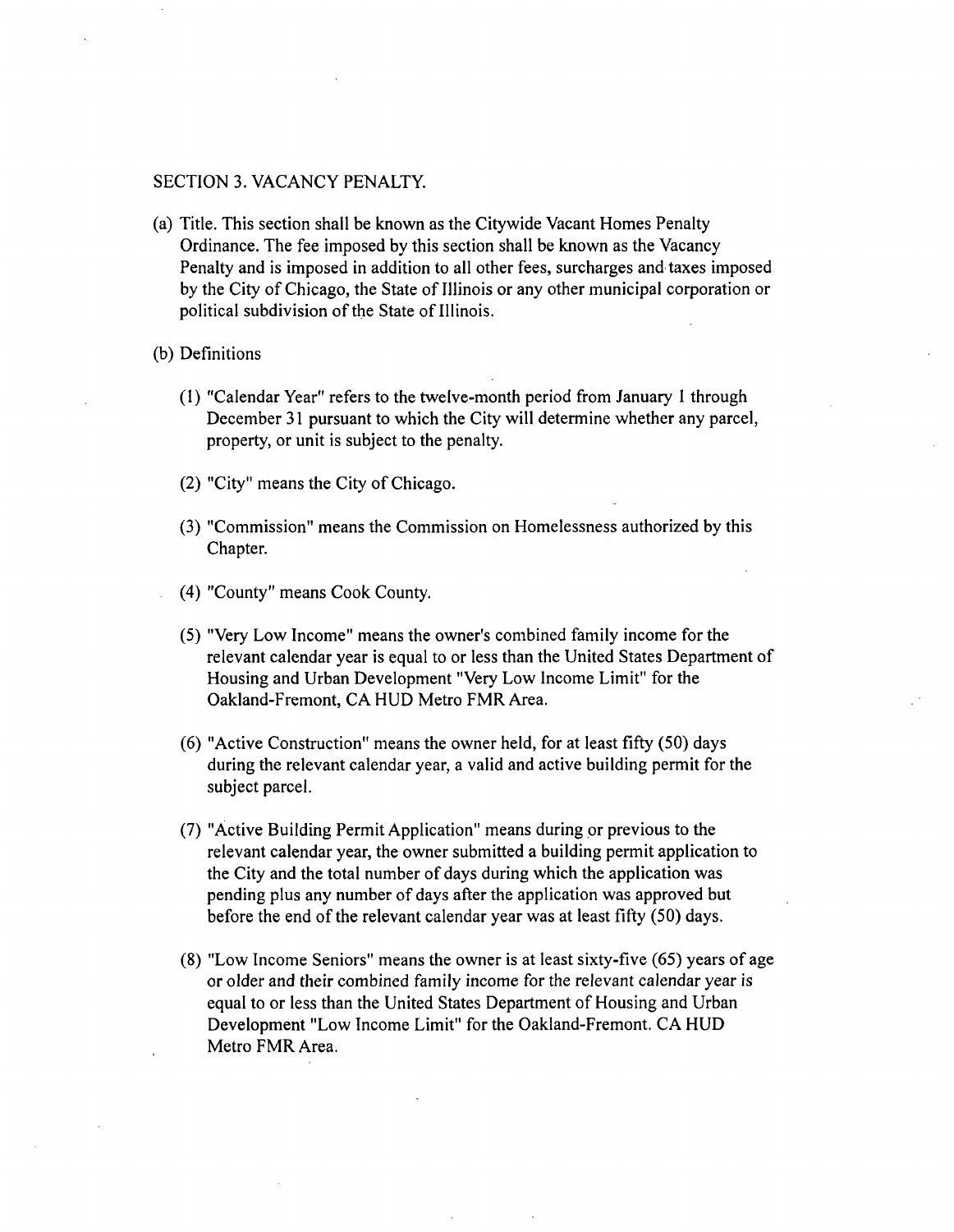#### SECTION 3. VACANCY PENALTY.

- (a) Title. This secfion shall be known as the Citywide Vacant Homes Penalty Ordinance. The fee imposed by this section shall be known as the Vacancy Penalty and is imposed in addition to all other fees, surcharges and taxes imposed by the City of Chicago, the State of Illinois or any other municipal corporation or political subdivision of the State of Illinois.
- (b) Definitions
	- (1) "Calendar Year" refers to the twelve-month period from January I through December 31 pursuant to which the City will determine whether any parcel, property, or unit is subject to the penalty.
	- $(2)$  "City" means the City of Chicago.
	- (3) "Commission" means the Commission on Homelessness authorized by this Chapter.
	- (4) "County" means Cook County.
	- (5) "Very Low Income" means the owner's combined family income for the relevant calendar year is equal to or less than the United States Department of Housing and Urban Development "Very Low Income Limit" for the Oakland-Fremont, CA HUD Metro FMR Area.
	- (6) "Active Construction" means the owner held, for at least fifty (50) days during the relevant calendar year, a valid and active building permit for the subject parcel.
	- (7) "Active Building Permit Applicafion" means during pr previous to the relevant calendar year, the owner submitted a building permit application to the City and the total number of days during which the application was pending plus any number of days after the application was approved but before the end of the relevant calendar year was at least fifty (50) days.
	- (8) "Low Income Seniors" means the owner is at least sixty-five (65) years of age or older and their combined family income for the relevant calendar year is equal to or less than the United States Department of Housing and Urban Development "Low Income Limit" for the Oakland-Fremont. CA HUD Metro FMR Area.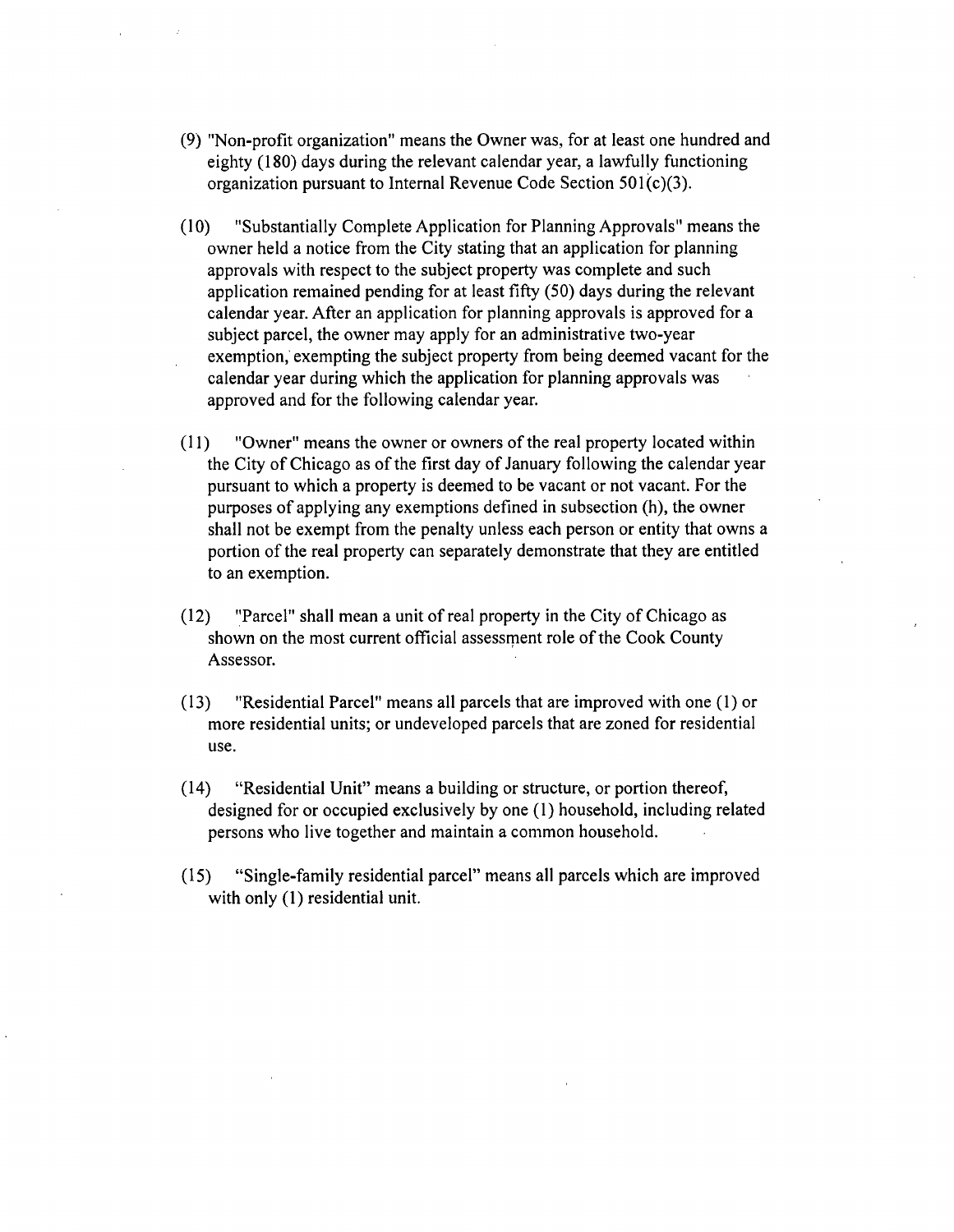- (9) "Non-profit organization" means the Owner was, for at least one hundred and eighty (180) days during the relevant calendar year, a lawfully functioning organization pursuant to Internal Revenue Code Section 501(c)(3).
- (10) "Substantially Complete Application for Planning Approvals" means the owner held a notice from the City stating that an application for planning approvals with respect to the subject property was complete and such application remained pending for at least fifty (50) days during the relevant calendar year. After an application for planning approvals is approved for a subject parcel, the owner may apply for an administrative two-year exemption, exempfing the subject property from being deemed vacant for the calendar year during which the application for planning approvals was approved and for the following calendar year.
- (11) "Owner" means the owner or owners of the real property located within the City of Chicago as of the first day of January following the calendar year pursuant to which a property is deemed to be vacant or not vacant. For the purposes of applying any exempfions defined in subsection (h), the owner shall not be exempt from the penalty unless each person or entity that owns a portion of the real property can separately demonstrate that they are entitled to an exemption.
- (12) "Parcel" shall mean a unit of real property in the City of Chicago as shown on the most current official assessment role of the Cook County Assessor.
- (13) "Residential Parcel" means all parcels that are improved with one (1) or more residential units; or undeveloped parcels that are zoned for residential use.
- (14) "Residential Unit" means a building or structure, or portion thereof, designed for or occupied exclusively by one (1) household, including related persons who live together and maintain a common household.
- (15) "Single-family residenfial parcel" means all parcels which are improved with only (1) residential unit.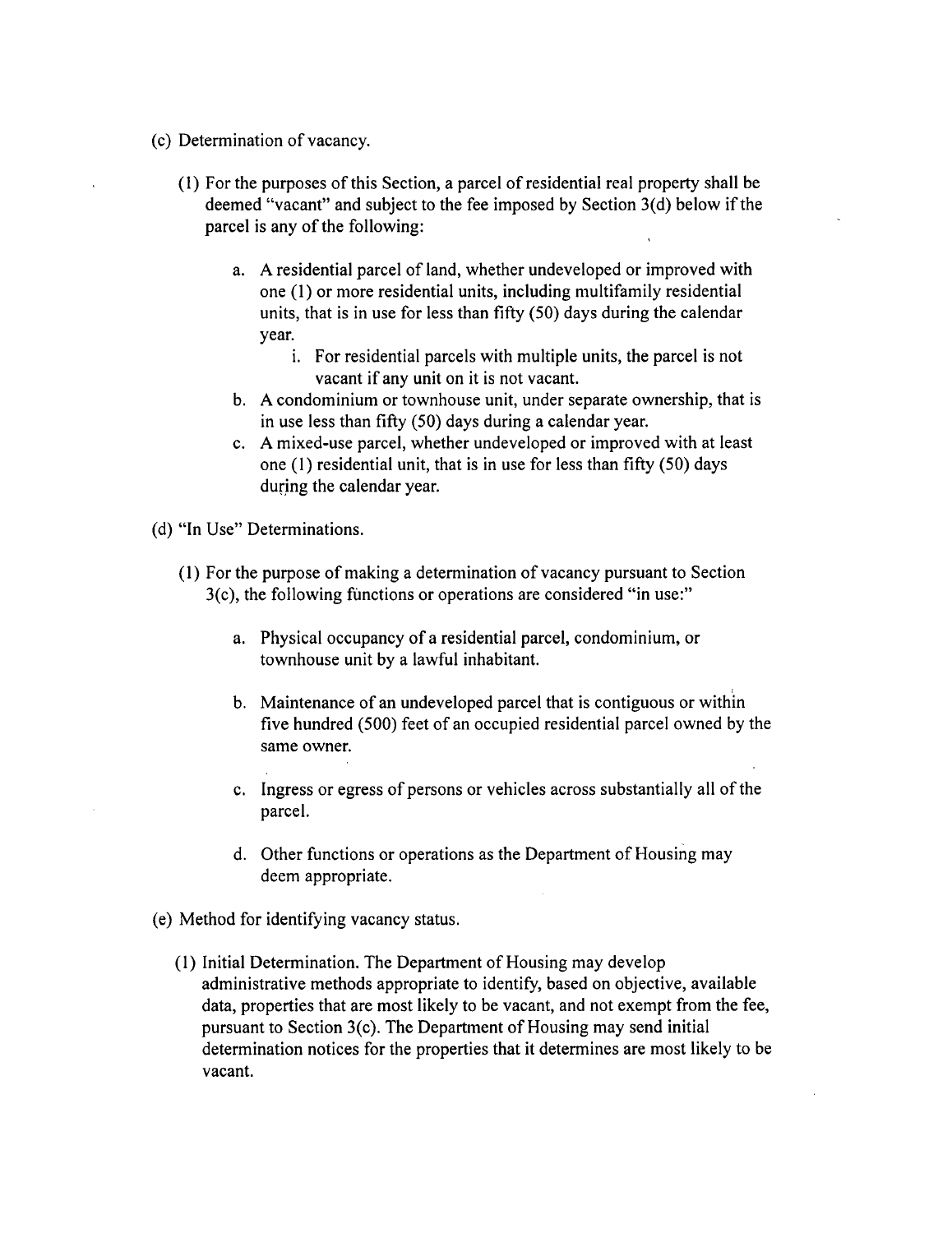- (c) Determination of vacancy.
	- (1) For the purposes of this Section, a parcel of residential real property shall be deemed "vacant" and subject to the fee imposed by Section 3(d) below if the parcel is any of the following:
		- a. A residential parcel of land, whether undeveloped or improved with one (1) or more residential units, including multifamily residential units, that is in use for less than fifty (50) days during the calendar year.
			- i. For residential parcels with multiple units, the parcel is not vacant if any unit on it is not vacant.
		- b. A condominium or townhouse unit, under separate ownership, that is in use less than fifty (50) days during a calendar year.
		- c. A mixed-use parcel, whether undeveloped or improved with at least one (1) residential unit, that is in use for less than fifty (50) days during the calendar year.
- (d) "In Use" Determinations.
	- (I) For the purpose of making a detemiination of vacancy pursuant to Section 3(c), the following functions or operations are considered "in use:"
		- a. Physical occupancy of a residential parcel, condominium, or townhouse unit by a lawful inhabitant.
		- b. Maintenance of an undeveloped parcel that is contiguous or within five hundred (500) feet of an occupied residential parcel owned by the same owner.
		- c. Ingress or egress of persons or vehicles across substantially all of the parcel.
		- d. Other functions or operations as the Department of Housing may deem appropriate.
- (e) Method for identifying vacancy status.
	- (1) Initial Determination. The Department of Housing may develop administrative methods appropriate to identify, based on objective, available data, properties that are most likely to be vacant, and not exempt from the fee, pursuant to Section 3(c). The Department of Housing may send initial determination notices for the properties that it determines are most likely to be vacant.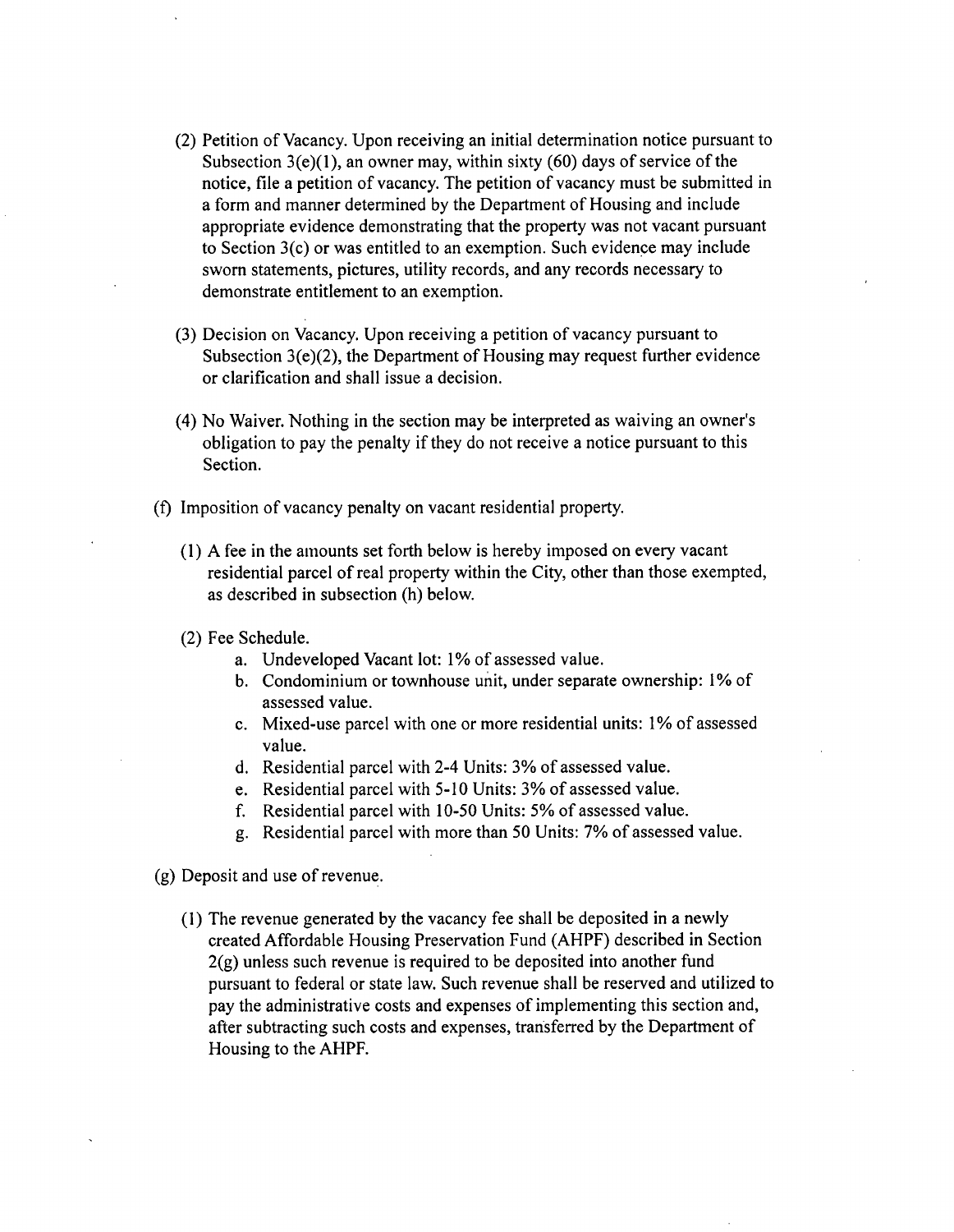- (2) Petition of Vacancy. Upon receiving an initial determination notice pursuant to Subsection  $3(e)(1)$ , an owner may, within sixty (60) days of service of the notice, file a petition of vacancy. The petition of vacancy must be submitted in a form and manner determined by the Department of Housing and include appropriate evidence demonstrating that the property was not vacant pursuant to Section 3(c) or was entitled to an exemption. Such evidence may include sworn statements, pictures, utility records, and any records necessary to demonstrate entitlement to an exemption.
- (3) Decision on Vacancy. Upon receiving a petition of vacancy pursuant to Subsection 3(e)(2), the Department of Housing may request further evidence or clarification and shall issue a decision.
- (4) No Waiver. Nothing in the section may be interpreted as waiving an owner's obligation to pay the penalty if they do not receive a notice pursuant to this Section.
- (f) Imposition of vacancy penalty on vacant residential property.
	- (1) A fee in the amounts set forth below is hereby imposed on every vacant residential parcel of real property within the City, other than those exempted, as described in subsection (h) below.
	- (2) Fee Schedule.
		- a. Undeveloped Vacant lot: 1% of assessed value.
		- b. Condominium or townhouse unit, under separate ownership: 1% of assessed value.
		- c. Mixed-use parcel with one or more residential units: 1% of assessed value.
		- d. Residential parcel with 2-4 Units: 3% of assessed value.
		- e. Residential parcel with 5-10 Units: 3% of assessed value,
		- f. Residential parcel with 10-50 Units: 5% of assessed value.
		- g. Residential parcel with more than 50 Units: 7% of assessed value.
- (g) Deposit and use of revenue.
	- (1) The revenue generated by the vacancy fee shall be deposited in a newly created Affordable Housing Preservation Fund (AHPF) described in Section  $2(g)$  unless such revenue is required to be deposited into another fund pursuant to federal or state law. Such revenue shall be reserved and utilized to pay the administrative costs and expenses of implementing this section and, after subtracting such costs and expenses, transferred by the Department of Housing to the AHPF.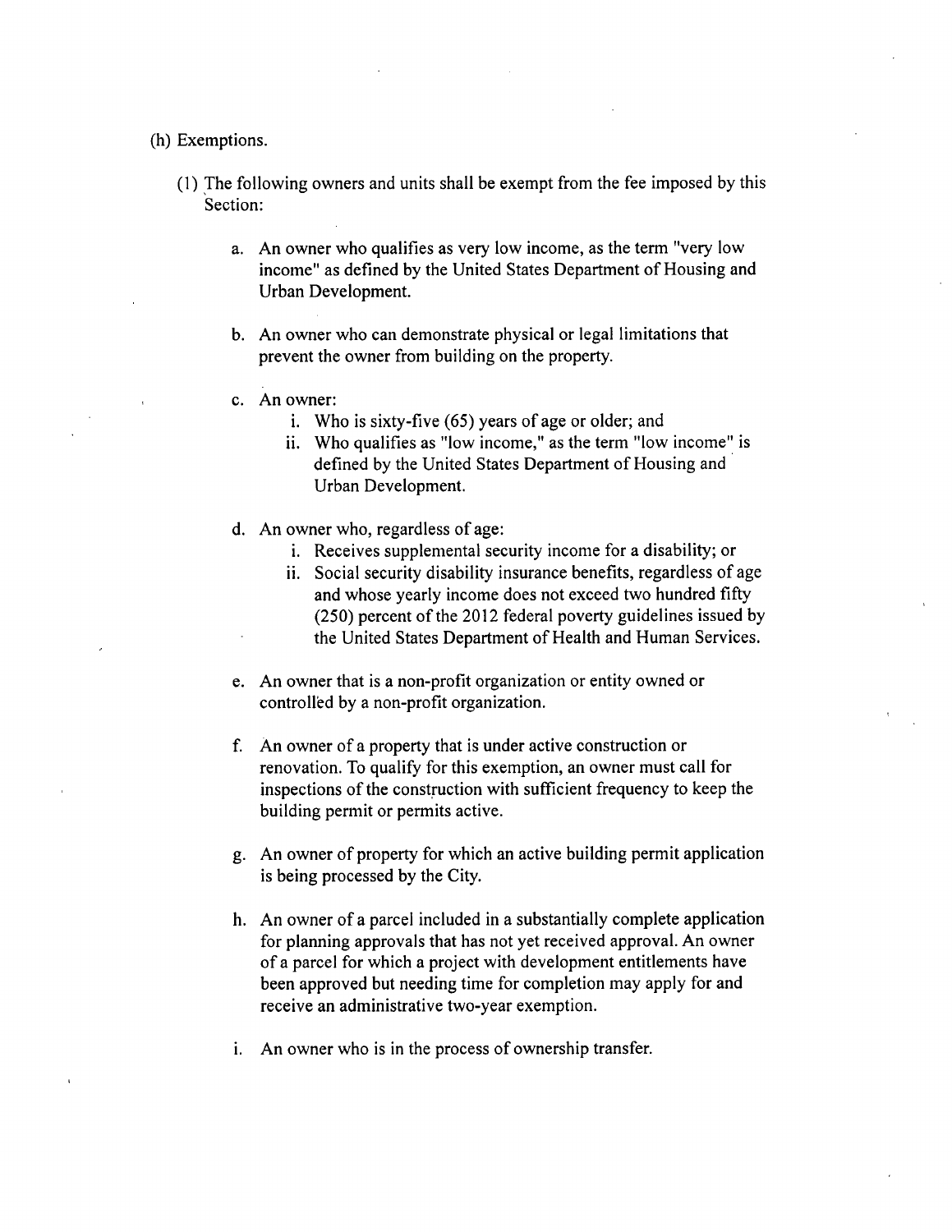#### (h) Exemptions.

- (1) The following owners and units shall be exempt from the fee imposed by this Section:
	- a. An owner who qualifies as very low income, as the term "very low income" as defined by the United States Department of Housing and Urban Development.
	- b. An owner who can demonstrate physical or legal limitations that prevent the owner from building on the property.
	- c. An owner:
		- i. Who is sixty-five (65) years of age or older; and
		- ii. Who qualifies as "low income," as the term "low income" is defined by the United States Department of Housing and Urban Development.
	- d. An owner who, regardless of age:
		- i. Receives supplemental security income for a disability; or
		- ii. Social security disability insurance benefits, regardless of age and whose yearly income does not exceed two hundred fifty (250) percent of the 2012 federal poverty guidelines issued by the United States Department of Health and Human Services.
	- e. An owner that is a non-profit organization or entity owned or controlled by a non-profit organization.
	- f. An owner of a property that is under active construction or renovation. To qualify for this exemption, an owner must call for inspections of the construction with sufficient frequency to keep the building permit or permits active.
	- g. An owner of property for which an active building permit application is being processed by the City.
	- h. An owner of a parcel included in a substanfially complete application for planning approvals that has not yet received approval. An owner of a parcel for which a project with development entitlements have been approved but needing time for completion may apply for and receive an administrative two-year exemption.
	- i. An owner who is in the process of ownership transfer.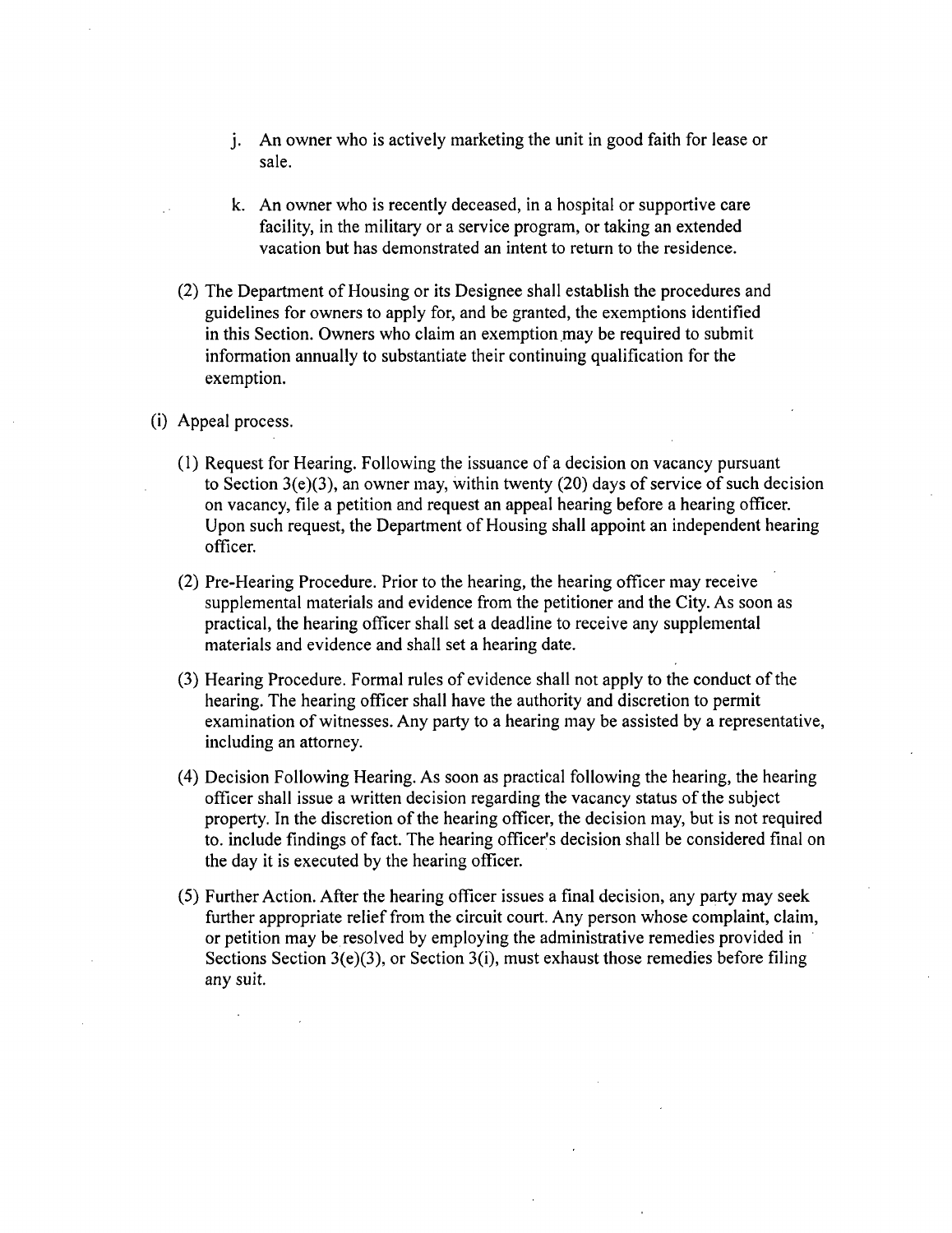- j. An owner who is actively marketing the unit in good faith for lease or sale.
- k. An owner who is recently deceased, in a hospital or supportive care facility, in the military or a service program, or taking an extended vacation but has demonstrated an intent to return to the residence.
- (2) The Department of Housing or its Designee shall establish the procedures and guidelines for owners to apply for, and be granted, the exemptions identified in this Section. Owners who claim an exemption may be required to submit information annually to substantiate their continuing qualification for the exemption.
- (i) Appeal process.
	- (1) Request for Hearing. Following the issuance of a decision on vacancy pursuant to Section 3(e)(3), an owner may, within twenty (20) days of service of such decision on vacancy, file a petition and request an appeal hearing before a hearing officer. Upon such request, the Department of Housing shall appoint an independent hearing officer.
	- (2) Pre-Hearing Procedure. Prior to the hearing, the hearing officer may receive supplemental materials and evidence from the petitioner and the City. As soon as practical, the hearing officer shall set a deadline to receive any supplemental materials and evidence and shall set a hearing date.
	- (3) Hearing Procedure. Formal rules of evidence shall not apply to the conduct ofthe hearing. The hearing officer shall have the authority and discretion to permit examination of witnesses. Any party to a hearing may be assisted by a representative, including an attorney.
	- (4) Decision Following Hearing. As soon as practical following the hearing, the hearing officer shall issue a written decision regarding the vacancy status of the subject property. In the discretion of the hearing officer, the decision may, but is not required to. include findings of fact. The hearing officer's decision shall be considered final on the day it is executed by the hearing officer.
	- (5) Further Action. After the hearing officer issues a final decision, any party may seek further appropriate relief from the circuit court. Any person whose complaint, claim, or petition may be resolved by employing the administrative remedies provided in Sections Section 3(e)(3), or Section 3(i), must exhaust those remedies before filing any suit.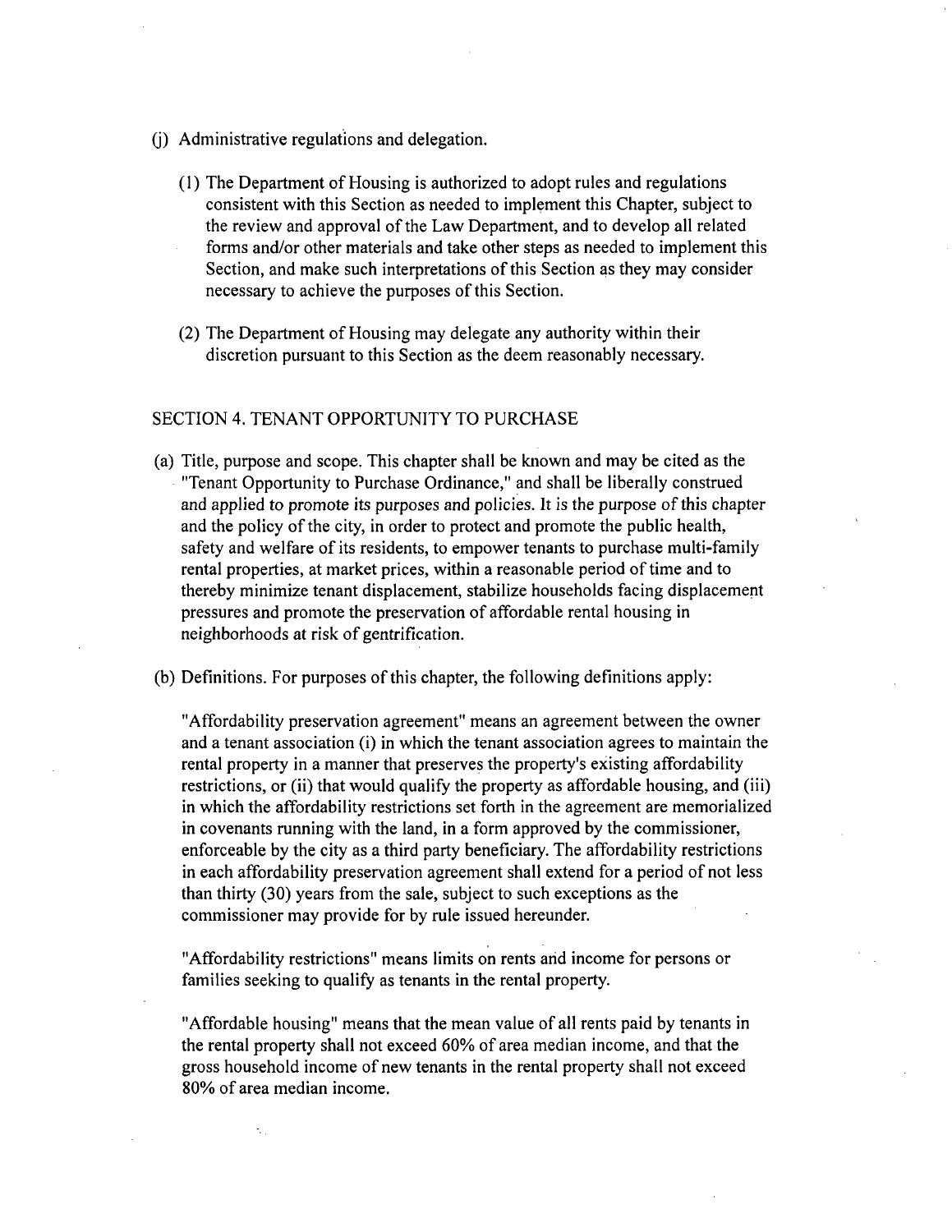- (j) Administrative regulations and delegation.
	- (1) The Department of Housing is authorized to adopt rules and regulations consistent with this Section as needed to implement this Chapter, subject to the review and approval of the Law Department, and to develop all related forms and/or other materials and take other steps as needed to implement this Section, and make such interpretations of this Section as they may consider necessary to achieve the purposes of this Section.
	- (2) The Department of Housing may delegate any authority within their discretion pursuant to this Section as the deem reasonably necessary.

#### SECTION 4. TENANT OPPORTUNITY TO PURCHASE

- (a) Title, purpose and scope. This chapter shall be known and may be cited as the "Tenant Opportunity to Purchase Ordinance," and shall be liberally construed and applied to promote its purposes and policies. It is the purpose of this chapter and the policy of the city, in order to protect and promote the public health, safety and welfare of its residents, to empower tenants to purchase multi-family rental properties, at market prices, within a reasonable period of time and to thereby minimize tenant displacement, stabilize households facing displacement pressures and promote the preservation of affordable rental housing in neighborhoods at risk of gentrification.
- (b) Definitions. For purposes of this chapter, the following definitions apply:

"Affordability preservation agreement" means an agreement between the owner and a tenant association (i) in which the tenant association agrees to maintain the rental property in a manner that preserves the property's existing affordability restrictions, or (ii) that would qualify the property as affordable housing, and (iii) in which the affordability restrictions set forth in the agreement are memorialized in covenants running with the land, in a form approved by the commissioner, enforceable by the city as a third party beneficiary. The affordability restrictions in each affordability preservation agreement shall extend for a period of not less than thirty (30) years from the sale, subject to such exceptions as the commissioner may provide for by rule issued hereunder.

"Affordability restrictions" means limits on rents and income for persons or families seeking to qualify as tenants in the rental property.

"Affordable housing" means that the mean value of all rents paid by tenants in the rental property shall not exceed 60% of area median income, and that the gross household income of new tenants in the rental property shall not exceed 80% of area median income.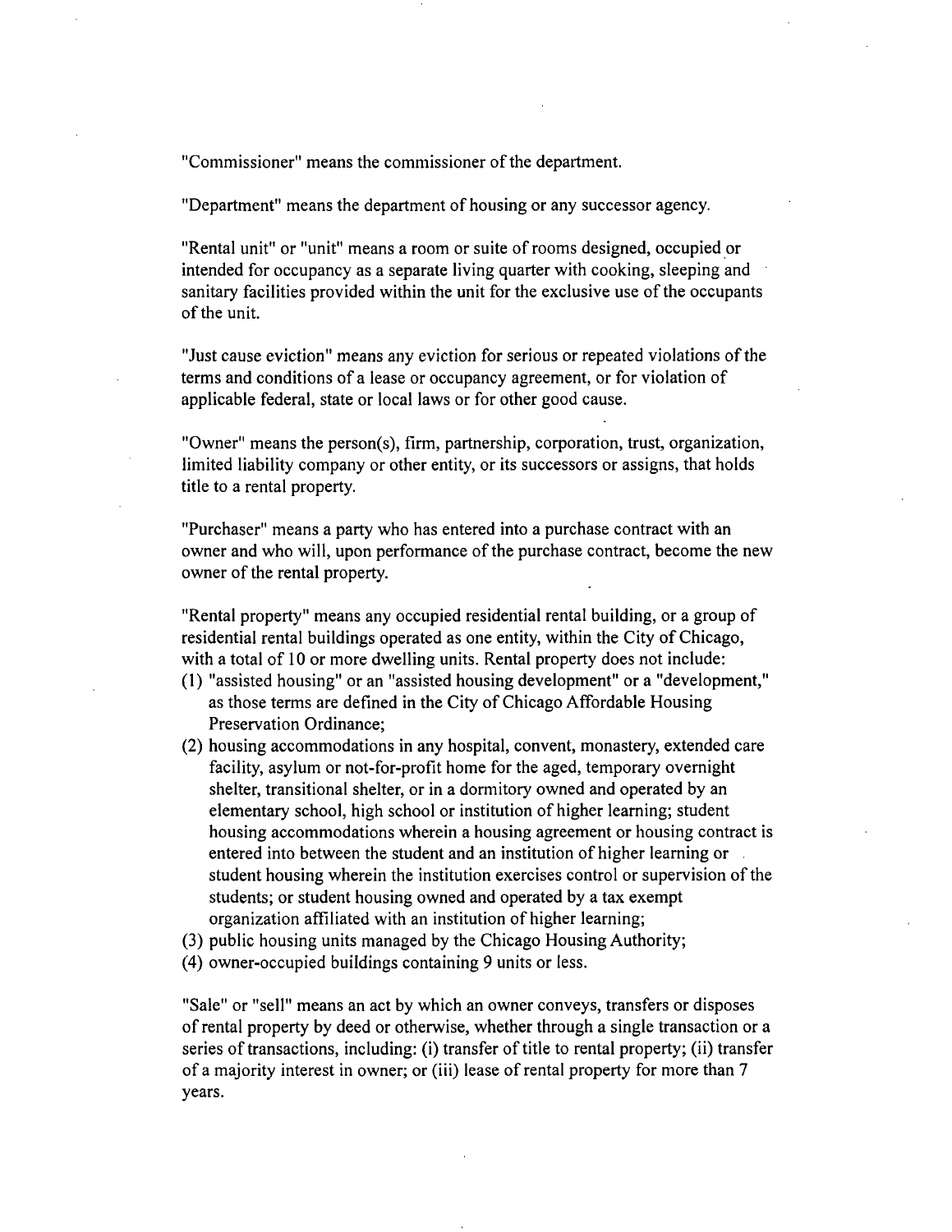"Commissioner" means the commissioner of the department.

"Department" means the department of housing or any successor agency.

"Rental unit" or "unit" means a room or suite of rooms designed, occupied or intended for occupancy as a separate living quarter with cooking, sleeping and sanitary facilities provided within the unit for the exclusive use of the occupants of the unit.

"Just cause evicfion" means any eviction for serious or repeated violations of the terms and conditions of a lease or occupancy agreement, or for violation of applicable federal, state or local laws or for other good cause.

"Owner" means the person(s), firm, partnership, corporation, trust, organization, limited liability company or other entity, or its successors or assigns, that holds title to a rental property.

"Purchaser" means a party who has entered into a purchase contract with an owner and who will, upon performance of the purchase contract, become the new owner of the rental property.

"Rental property" means any occupied residential rental building, or a group of residential rental buildings operated as one entity, within the City of Chicago, with a total of 10 or more dwelling units. Rental property does not include:

- (1) "assisted housing" or an "assisted housing development" or a "development," as those terms are defined in the City of Chicago Affordable Housing Preservation Ordinance;
- (2) housing accommodations in any hospital, convent, monastery, extended care facility, asylum or not-for-profit home for the aged, temporary overnight shelter, transitional shelter, or in a dormitory owned and operated by an elementary school, high school or institution of higher learning; student housing accommodations wherein a housing agreement or housing contract is entered into between the student and an institution of higher learning or student housing wherein the institution exercises control or supervision of the students; or student housing owned and operated by a tax exempt organization affiliated with an institution of higher learning;
- (3) public housing units managed by the Chicago Housing Authority;
- (4) owner-occupied buildings containing 9 units or less.

"Sale" or "sell" means an act by which an owner conveys, transfers or disposes of rental property by deed or otherwise, whether through a single transaction or a series of transactions, including: (i) transfer of tifie to rental property; (ii) transfer of a majority interest in owner; or (iii) lease of rental property for more than 7 years.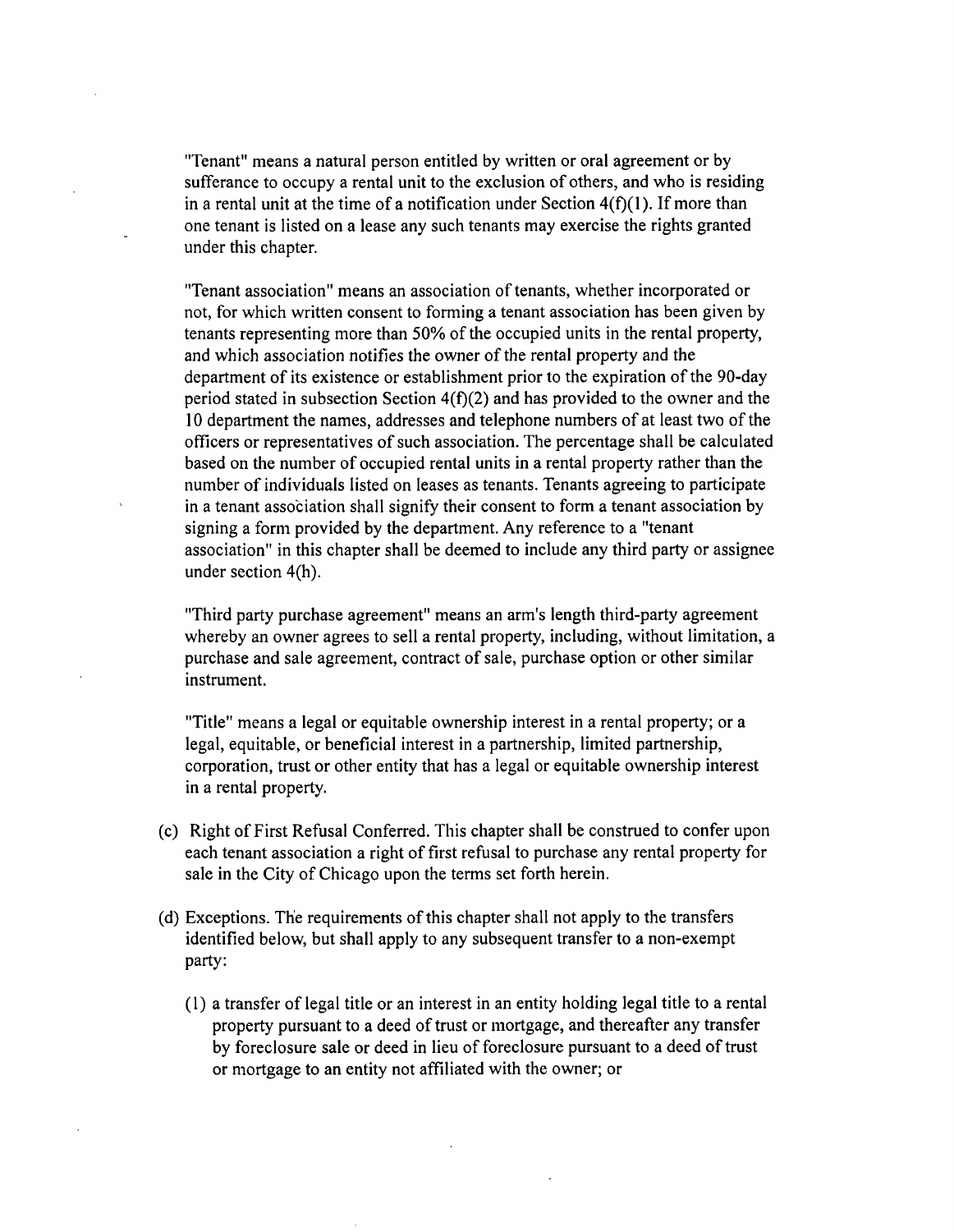"Tenant" means a natural person entitled by written or oral agreement or by sufferance to occupy a rental unit to the exclusion of others, and who is residing in a rental unit at the time of a notification under Section  $4(f)(1)$ . If more than one tenant is listed on a lease any such tenants may exercise the rights granted under this chapter.

"Tenant association" means an association of tenants, whether incorporated or not, for which written consent to forming a tenant association has been given by tenants representing more than 50% of the occupied units in the rental property, and which association notifies the owner of the rental property and the department of its existence or establishment prior to the expiration of the 90-day period stated in subsection Section  $4(f)(2)$  and has provided to the owner and the 10 department the names, addresses and telephone numbers of at least two of the officers or representatives of such association. The percentage shall be calculated based on the number of occupied rental units in a rental property rather than the number of individuals listed on leases as tenants. Tenants agreeing to participate in a tenant association shall signify their consent to form a tenant associafion by signing a form provided by the department. Any reference to a "tenant association" in this chapter shall be deemed to include any third party or assignee under section 4(h).

"Third party purchase agreement" means an arm's length third-party agreement whereby an owner agrees to sell a rental property, including, without limitation, a purchase and sale agreement, contract of sale, purchase option or other similar instrument.

"Title" means a legal or equitable ownership interest in a rental property; or a legal, equitable, or beneficial interest in a partnership, limited partnership, corporation, trust or other entity that has a legal or equitable ownership interest in a rental property.

- (c) Right of First Refusal Conferred. This chapter shall be construed to confer upon each tenant association a right of first refusal to purchase any rental property for sale in the City of Chicago upon the terms set forth herein.
- (d) Exceptions. The requirements of this chapter shall not apply to the transfers identified below, but shall apply to any subsequent transfer to a non-exempt party:
	- (1) a transfer of legal title or an interest in an entity holding legal title to a rental property pursuant to a deed of trust or mortgage, and thereafter any transfer by foreclosure sale or deed in lieu of foreclosure pursuant to a deed of trust or mortgage to an entity not affiliated with the owner; or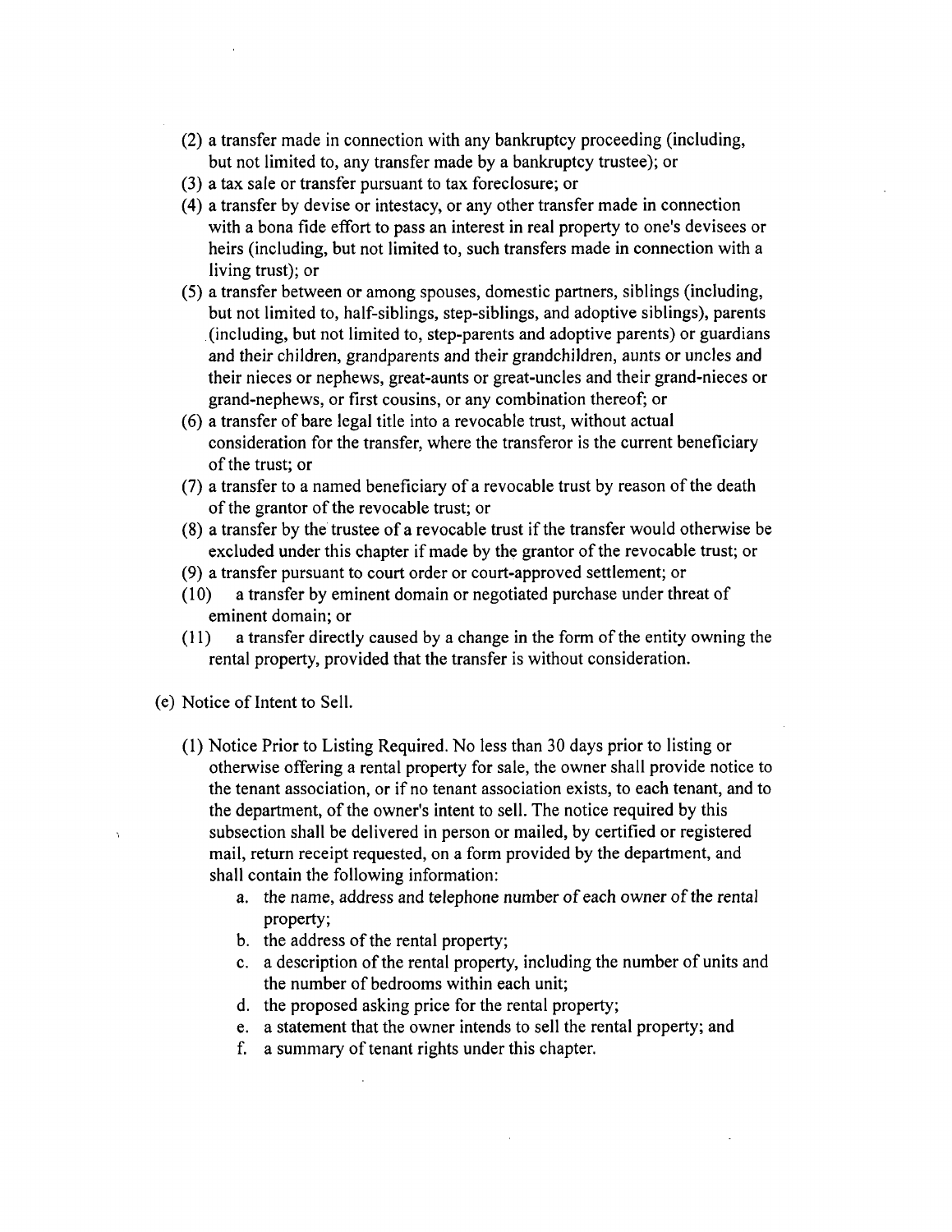- (2) a transfer made in connection with any bankruptcy proceeding (including, but not limited to, any transfer made by a bankruptcy trustee); or
- (3) a tax sale or transfer pursuant to tax foreclosure; or
- (4) a transfer by devise or intestacy, or any other transfer made in connection with a bona fide effort to pass an interest in real property to one's devisees or heirs (including, but not limited to, such transfers made in connection with a living trust); or
- (5) a transfer between or among spouses, domestic partners, siblings (including, but not limited to, half-siblings, step-siblings, and adoptive siblings), parents (including, but not limited to, step-parents and adoptive parents) or guardians and their children, grandparents and their grandchildren, aunts or uncles and their nieces or nephews, great-aunts or great-uncles and their grand-nieces or grand-nephews, or first cousins, or any combination thereof; or
- (6) a transfer of bare legal title into a revocable trust, without actual consideration for the transfer, where the transferor is the current beneficiary ofthe trust; or
- (7) a transfer to a named beneficiary of a revocable trust by reason ofthe death of the grantor of the revocable trust; or
- (8) a transfer by the trustee of a revocable trust if the transfer would otherwise be excluded under this chapter if made by the grantor of the revocable trust; or
- (9) a transfer pursuant to court order or court-approved settlement; or
- (10) a transfer by eminent domain or negotiated purchase under threat of eminent domain; or
- (11) a transfer directly caused by a change in the form of the entity owning the rental property, provided that the transfer is without consideration.
- (e) Notice of Intent to Sell.
	- (1) Notice Prior to Listing Required. No less than 30 days prior to listing or otherwise offering a rental property for sale, the owner shall provide notice to the tenant association, or if no tenant association exists, to each tenant, and to the department, of the owner's intent to sell. The notice required by this subsection shall be delivered in person or mailed, by certified or registered mail, return receipt requested, on a form provided by the department, and shall contain the following information:
		- a. the name, address and telephone number of each owner of the rental property;
		- b. the address of the rental property;
		- c. a description of the rental property, including the number of units and the number of bedrooms within each unit;
		- d. the proposed asking price for the rental property;
		- e. a statement that the owner intends to sell the rental property; and
		- f. a summary of tenant rights under this chapter.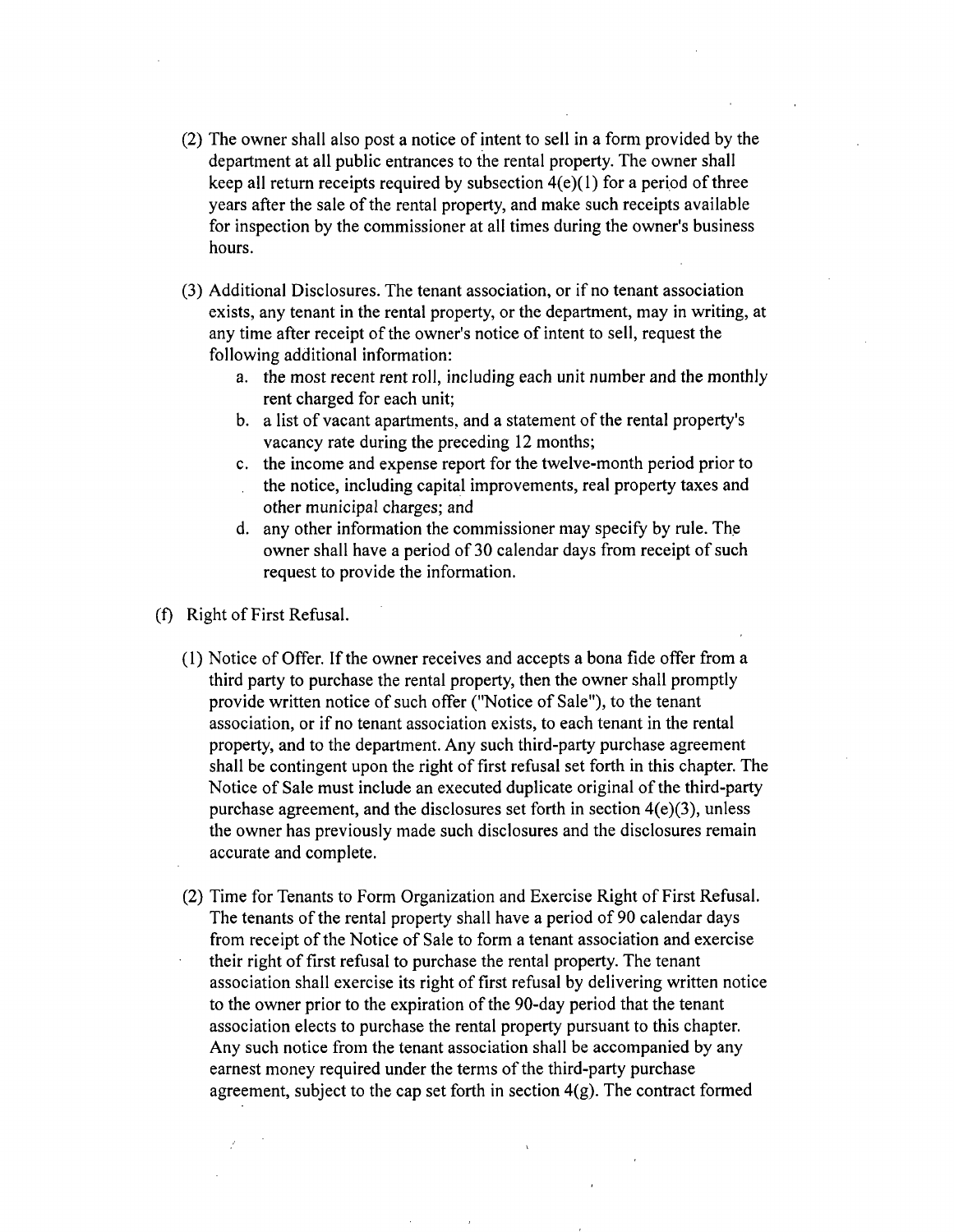- (2) The owner shall also post a notice of intent to sell in a form provided by the department at all public entrances to the rental property. The owner shall keep all return receipts required by subsection  $4(e)(1)$  for a period of three years after the sale of the rental property, and make such receipts available for inspection by the commissioner at all fimes during the owner's business hours.
- (3) Additional Disclosures. The tenant association, or if no tenant association exists, any tenant in the rental property, or the department, may in writing, at any time after receipt of the owner's notice of intent to sell, request the following additional information:
	- a. the most recent rent roll, including each unit number and the monthly rent charged for each unit;
	- b. a list of vacant apartments, and a statement of the rental property's vacancy rate during the preceding 12 months;
	- c. the income and expense report for the twelve-month period prior to the notice, including capital improvements, real property taxes and other municipal charges; and
	- d. any other information the commissioner may specify by rule. The owner shall have a period of 30 calendar days from receipt of such request to provide the information.

(f) Right of First Refusal.

- (1) Notice of Offer. If the owner receives and accepts a bona fide offer from a third party to purchase the rental property, then the owner shall promptly provide written notice of such offer ("Notice of Sale"), to the tenant association, or if no tenant association exists, to each tenant in the rental property, and to the department. Any such third-party purchase agreement shall be contingent upon the right of first refusal set forth in this chapter. The Notice of Sale must include an executed duplicate original of the third-party purchase agreement, and the disclosures set forth in section 4(e)(3), unless the owner has previously made such disclosures and the disclosures remain accurate and complete.
- (2) Time for Tenants to Form Organizafion and Exercise Right of First Refusal. The tenants of the rental property shall have a period of 90 calendar days from receipt of the Notice of Sale to form a tenant association and exercise their right of first refusal to purchase the rental property. The tenant association shall exercise its right of first refusal by delivering written notice to the owner prior to the expiration of the 90-day period that the tenant association elects to purchase the rental property pursuant to this chapter Any such notice from the tenant association shall be accompanied by any earnest money required under the terms of the third-party purchase agreement, subject to the cap set forth in section  $4(g)$ . The contract formed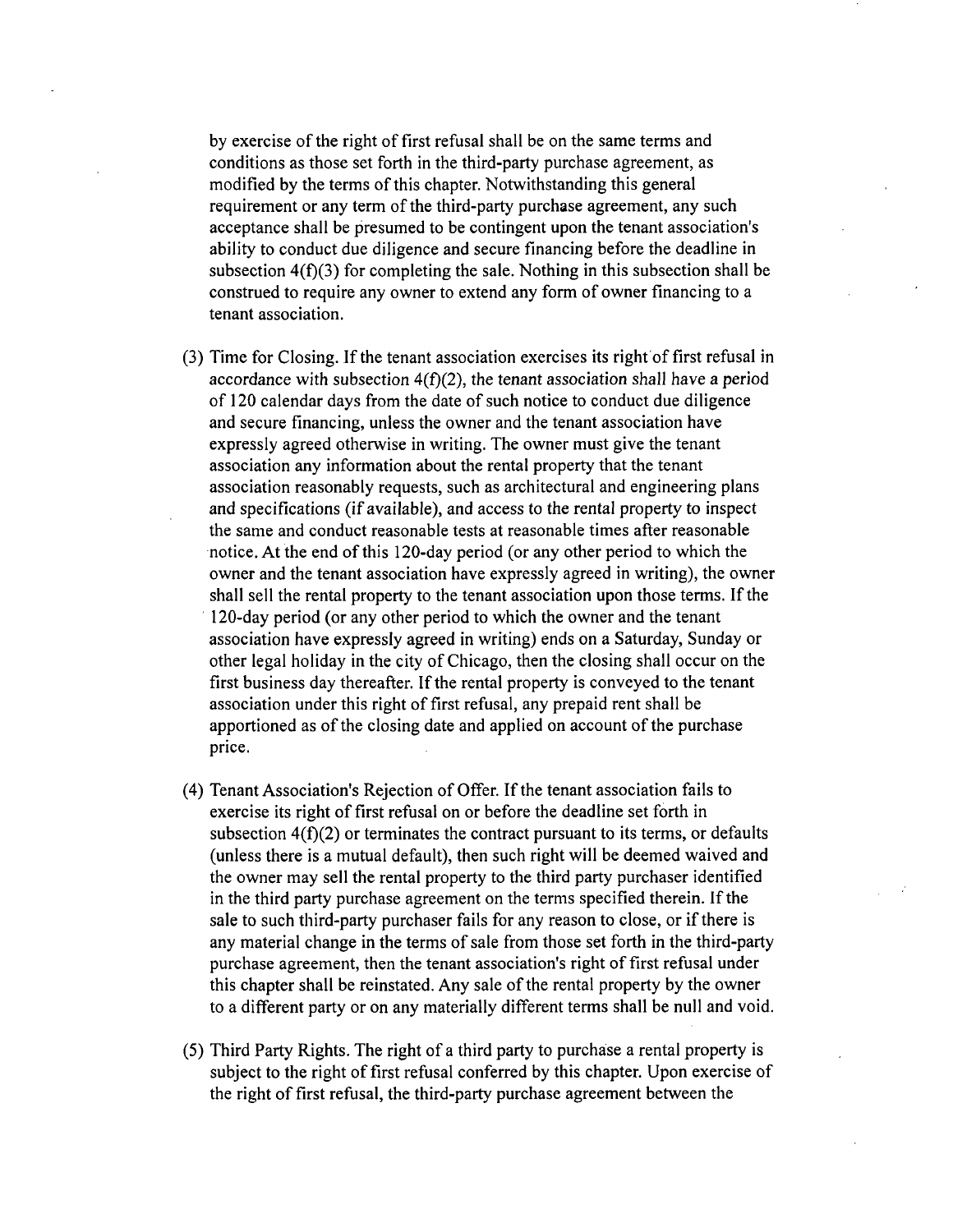by exercise of the right of first refusal shall be on the same terms and conditions as those set forth in the third-party purchase agreement, as modified by the terms of this chapter. Notwithstanding this general requirement or any term of the third-party purchase agreement, any such acceptance shall be presumed to be contingent upon the tenant association's ability to conduct due diligence and secure financing before the deadline in subsection  $4(f)(3)$  for completing the sale. Nothing in this subsection shall be construed to require any owner to extend any form of owner financing to a tenant association.

- (3) Time for Closing. If the tenant association exercises its right of first refusal in accordance with subsection  $4(f)(2)$ , the tenant association shall have a period of 120 calendar days from the date of such notice to conduct due diligence and secure financing, unless the owner and the tenant association have expressly agreed otherwise in writing. The owner must give the tenant association any information about the rental property that the tenant association reasonably requests, such as architectural and engineering plans and specifications (if available), and access to the rental property to inspect the same and conduct reasonable tests at reasonable times after reasonable notice. At the end of this 120-day period (or any other period to which the owner and the tenant association have expressly agreed in writing), the owner shall sell the rental property to the tenant association upon those terms. If the 120-day period (or any other period to which the owner and the tenant association have expressly agreed in writing) ends on a Saturday, Sunday or other legal holiday in the city of Chicago, then the closing shall occur on the first business day thereafter. If the rental property is conveyed to the tenant association under this right of first refusal, any prepaid rent shall be apportioned as of the closing date and applied on account of the purchase price.
- (4) Tenant Association's Rejection of Offer. If the tenant association fails to exercise its right of first refusal on or before the deadline set forth in subsection  $4(f)(2)$  or terminates the contract pursuant to its terms, or defaults (unless there is a mutual default), then such right will be deemed waived and the owner may sell the rental property to the third party purchaser identified in the third party purchase agreement on the terms specified therein. If the sale to such third-party purchaser fails for any reason to close, or if there is any material change in the terms of sale from those set forth in the third-party purchase agreement, then the tenant association's right of first refusal under this chapter shall be reinstated. Any sale of the rental property by the owner to a different party or on any materially different terms shall be null and void.
- (5) Third Party Rights. The right of a third party to purchase a rental property is subject to the right of first refusal conferred by this chapter. Upon exercise of the right of first refusal, the third-party purchase agreement between the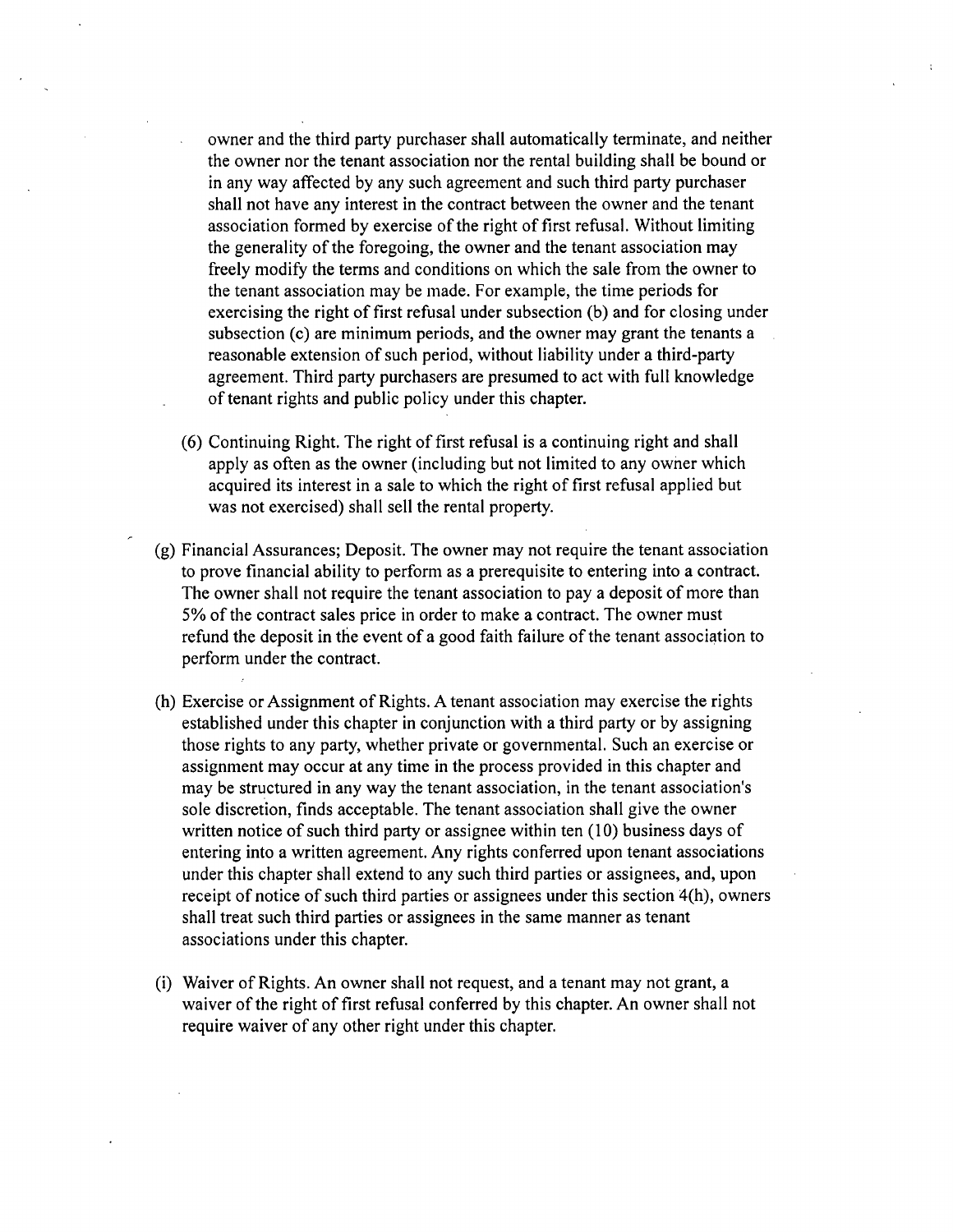owner and the third party purchaser shall automatically terminate, and neither the owner nor the tenant association nor the rental building shall be bound or in any way affected by any such agreement and such third party purchaser shall not have any interest in the contract between the owner and the tenant association formed by exercise of the right of first refusal. Without limiting the generality of the foregoing, the owner and the tenant association may freely modify the terms and condifions on which the sale from the owner to the tenant association may be made. For example, the time periods for exercising the right of first refusal under subsection (b) and for closing under subsection (c) are minimum periods, and the owner may grant the tenants a reasonable extension of such period, without liability under a third-party agreement. Third party purchasers are presumed to act with full knowledge of tenant rights and public policy under this chapter.

- (6) Continuing Right. The right of first refusal is a continuing right and shall apply as often as the owner (including but not limited to any owner which acquired its interest in a sale to which the right of first refusal applied but was not exercised) shall sell the rental property.
- (g) Financial Assurances; Deposit. The owner may not require the tenant association to prove financial ability to perform as a prerequisite to entering into a contract. The owner shall not require the tenant association to pay a deposit of more than 5% of the contract sales price in order to make a contract. The owner must refund the deposit in the event of a good faith failure of the tenant association to perform under the contract.
- (h) Exercise or Assignment of Rights. A tenant association may exercise the rights established under this chapter in conjunction with a third party or by assigning those rights to any party, whether private or govemmental. Such an exercise or assignment may occur at any time in the process provided in this chapter and may be structured in any way the tenant association, in the tenant association's sole discretion, finds acceptable. The tenant association shall give the owner written notice of such third party or assignee within ten  $(10)$  business days of entering into a written agreement. Any rights conferred upon tenant associations under this chapter shall extend to any such third parties or assignees, and, upon receipt of notice of such third parties or assignees under this section 4(h), owners shall treat such third parties or assignees in the same manner as tenant associations under this chapter.
- (i) Waiver of Rights. An owner shall not request, and a tenant may not grant, a waiver of the right of first refusal conferred by this chapter. An owner shall not require waiver of any other right under this chapter.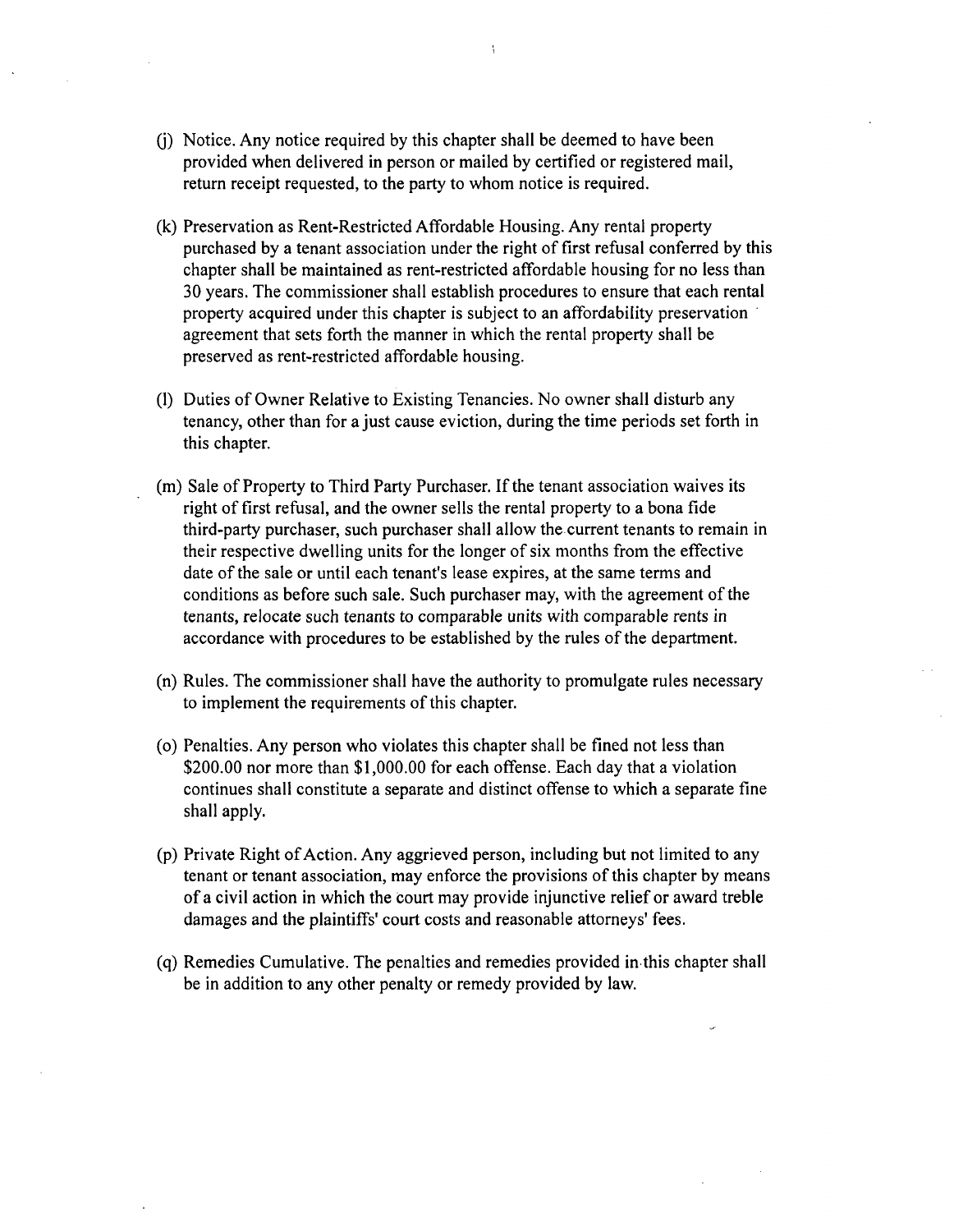- (j) Notice. Any notice required by this chapter shall be deemed to have been provided when delivered in person or mailed by certified or registered mail, return receipt requested, to the party to whom notice is required.
- (k) Preservation as Rent-Restricted Affordable Housing. Any rental property purchased by a tenant association under the right of first refusal conferred by this chapter shall be maintained as rent-restricted affordable housing for no less than 30 years. The commissioner shall establish procedures to ensure that each rental property acquired under this chapter is subject to an affordability preservation agreement that sets forth the manner in which the rental property shall be preserved as rent-restricted affordable housing.
- (1) Duties of Owner Relative to Existing Tenancies. No owner shall disturb any tenancy, other than for a just cause eviction, during the time periods set forth in this chapter
- (m) Sale of Property to Third Party Purchaser. If the tenant association waives its right of first refusal, and the owner sells the rental property to a bona fide third-party purchaser, such purchaser shall allow the current tenants to remain in their respective dwelling units for the longer of six months from the effective date of the sale or until each tenant's lease expires, at the same terms and conditions as before such sale. Such purchaser may, with the agreement of the tenants, relocate such tenants to comparable units with comparable rents in accordance with procedures to be established by the rules of the department.
- (n) Rules. The commissioner shall have the authority to promulgate rules necessary to implement the requirements of this chapter.
- (o) Penalties. Any person who violates this chapter shall be fined not less than \$200.00 nor more than \$1,000.00 for each offense. Each day that a violation continues shall constitute a separate and distinct offense to which a separate fine shall apply.
- (p) Private Right of Acfion. Any aggrieved person, including but not limited to any tenant or tenant association, may enforce the provisions of this chapter by means of a civil action in which the court may provide injunctive relief or award treble damages and the plaintiffs' court costs and reasonable attorneys' fees.
- (q) Remedies Cumulative. The penalties and remedies provided in this chapter shall be in addition to any other penalty or remedy provided by law.